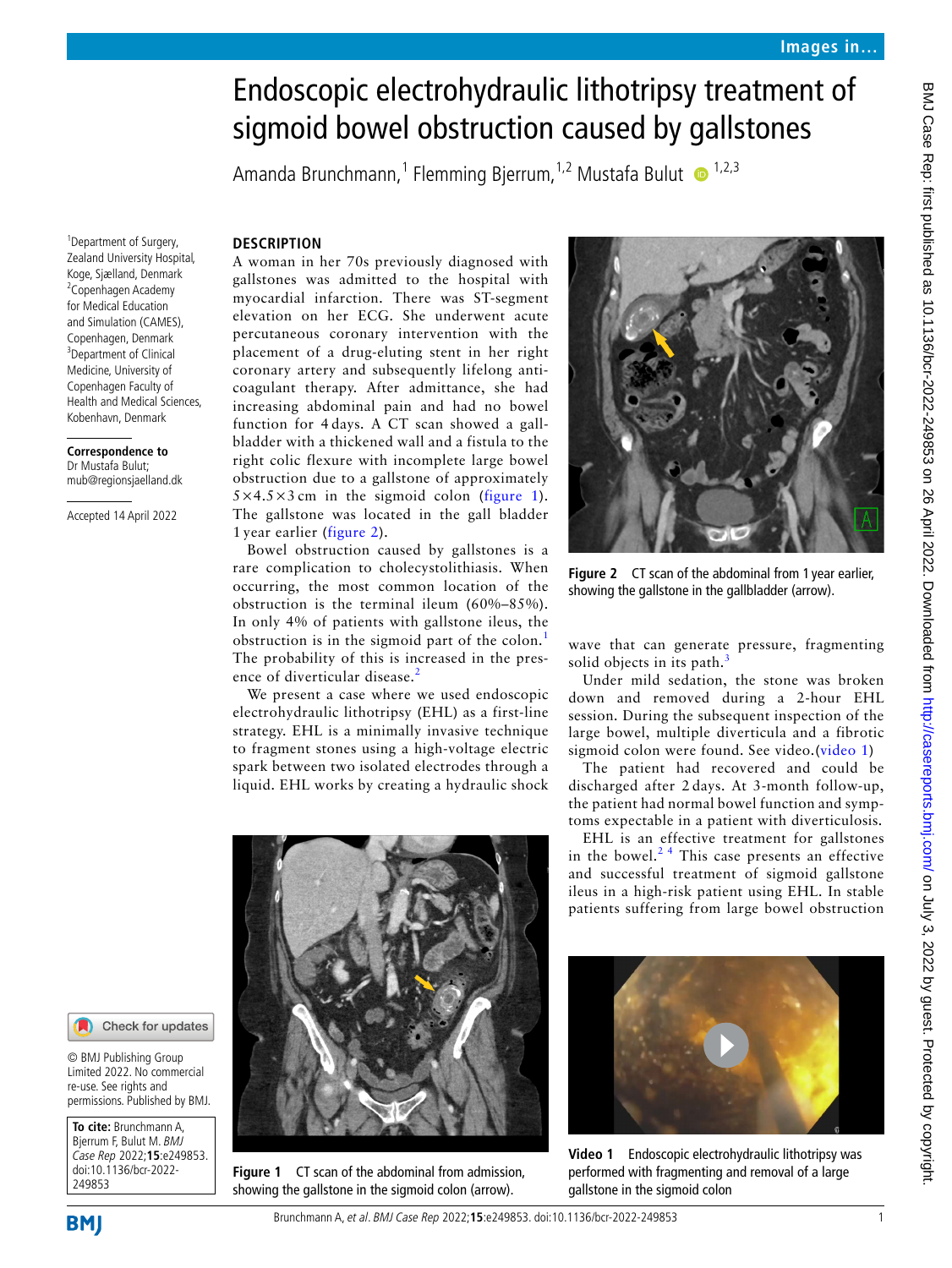# Endoscopic electrohydraulic lithotripsy treatment of sigmoid bowel obstruction caused by gallstones

Amanda Brunchmann,<sup>1</sup> Flemming Bjerrum,<sup>1,2</sup> Mustafa Bulut O <sup>1,2,3</sup>

# **DESCRIPTION**

<sup>1</sup>Department of Surgery, Zealand University Hospital, Koge, Sjælland, Denmark <sup>2</sup> Copenhagen Academy for Medical Education and Simulation (CAMES), Copenhagen, Denmark <sup>3</sup>Department of Clinical Medicine, University of Copenhagen Faculty of Health and Medical Sciences, Kobenhavn, Denmark

**Correspondence to** Dr Mustafa Bulut; mub@regionsjaelland.dk

Accepted 14 April 2022

A woman in her 70s previously diagnosed with gallstones was admitted to the hospital with myocardial infarction. There was ST-segment elevation on her ECG. She underwent acute percutaneous coronary intervention with the placement of a drug-eluting stent in her right coronary artery and subsequently lifelong anticoagulant therapy. After admittance, she had increasing abdominal pain and had no bowel function for 4 days. A CT scan showed a gallbladder with a thickened wall and a fistula to the right colic flexure with incomplete large bowel obstruction due to a gallstone of approximately  $5 \times 4.5 \times 3$  cm in the sigmoid colon ([figure](#page-0-0) 1). The gallstone was located in the gall bladder 1 year earlier ([figure](#page-0-1) 2).

Bowel obstruction caused by gallstones is a rare complication to cholecystolithiasis. When occurring, the most common location of the obstruction is the terminal ileum (60%–85%). In only 4% of patients with gallstone ileus, the obstruction is in the sigmoid part of the colon.<sup>[1](#page-1-0)</sup> The probability of this is increased in the pres-ence of diverticular disease.<sup>[2](#page-1-1)</sup>

We present a case where we used endoscopic electrohydraulic lithotripsy (EHL) as a first-line strategy. EHL is a minimally invasive technique to fragment stones using a high-voltage electric spark between two isolated electrodes through a liquid. EHL works by creating a hydraulic shock



**Figure 1** CT scan of the abdominal from admission, showing the gallstone in the sigmoid colon (arrow).



**Figure 2** CT scan of the abdominal from 1 year earlier, showing the gallstone in the gallbladder (arrow).

<span id="page-0-1"></span>wave that can generate pressure, fragmenting solid objects in its path.<sup>[3](#page-1-2)</sup>

Under mild sedation, the stone was broken down and removed during a 2-hour EHL session. During the subsequent inspection of the large bowel, multiple diverticula and a fibrotic sigmoid colon were found. See video.[\(video](#page-0-2) 1)

The patient had recovered and could be discharged after 2 days. At 3-month follow-up, the patient had normal bowel function and symptoms expectable in a patient with diverticulosis.

EHL is an effective treatment for gallstones in the bowel. $2<sup>4</sup>$  This case presents an effective and successful treatment of sigmoid gallstone ileus in a high-risk patient using EHL. In stable patients suffering from large bowel obstruction

<span id="page-0-2"></span>

**Video 1** Endoscopic electrohydraulic lithotripsy was performed with fragmenting and removal of a large gallstone in the sigmoid colon

#### Check for updates

© BMJ Publishing Group Limited 2022. No commercial re-use. See rights and permissions. Published by BMJ.

<span id="page-0-0"></span>**To cite:** Brunchmann A, Bjerrum F, Bulut M. BMJ Case Rep 2022;**15**:e249853. doi:10.1136/bcr-2022- 249853